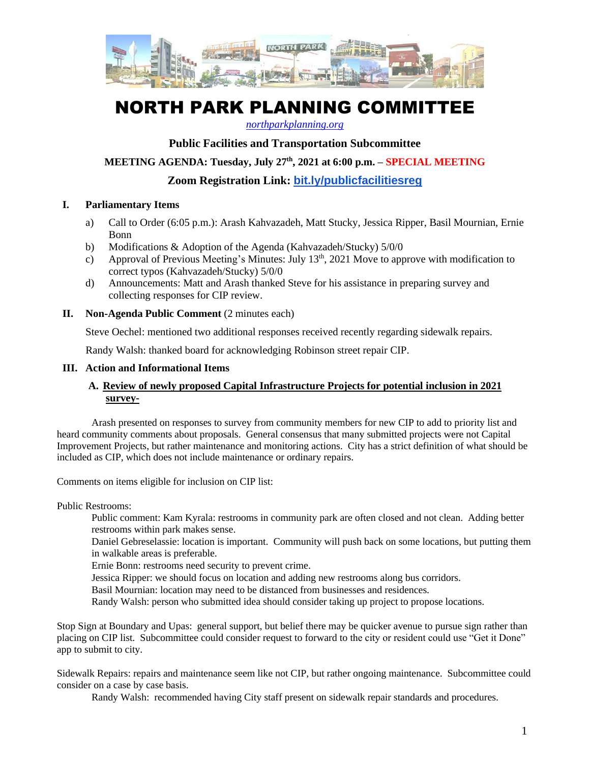

# NORTH PARK PLANNING COMMITTEE

*[northparkplanning.org](http://www.northparkplanning.org/)*

# **Public Facilities and Transportation Subcommittee**

## **MEETING AGENDA: Tuesday, July 27th, 2021 at 6:00 p.m. – SPECIAL MEETING**

**Zoom Registration Link: [bit.ly/publicfacilitiesreg](http://bit.ly/publicfacilitiesreg)**

#### **I. Parliamentary Items**

- a) Call to Order (6:05 p.m.): Arash Kahvazadeh, Matt Stucky, Jessica Ripper, Basil Mournian, Ernie Bonn
- b) Modifications & Adoption of the Agenda (Kahvazadeh/Stucky) 5/0/0
- c) Approval of Previous Meeting's Minutes: July  $13<sup>th</sup>$ , 2021 Move to approve with modification to correct typos (Kahvazadeh/Stucky) 5/0/0
- d) Announcements: Matt and Arash thanked Steve for his assistance in preparing survey and collecting responses for CIP review.
- **II. Non-Agenda Public Comment** (2 minutes each)

Steve Oechel: mentioned two additional responses received recently regarding sidewalk repairs.

Randy Walsh: thanked board for acknowledging Robinson street repair CIP.

### **III. Action and Informational Items**

## **A. Review of newly proposed Capital Infrastructure Projects for potential inclusion in 2021 survey-**

Arash presented on responses to survey from community members for new CIP to add to priority list and heard community comments about proposals. General consensus that many submitted projects were not Capital Improvement Projects, but rather maintenance and monitoring actions. City has a strict definition of what should be included as CIP, which does not include maintenance or ordinary repairs.

Comments on items eligible for inclusion on CIP list:

Public Restrooms:

Public comment: Kam Kyrala: restrooms in community park are often closed and not clean. Adding better restrooms within park makes sense.

Daniel Gebreselassie: location is important. Community will push back on some locations, but putting them in walkable areas is preferable.

Ernie Bonn: restrooms need security to prevent crime.

Jessica Ripper: we should focus on location and adding new restrooms along bus corridors.

Basil Mournian: location may need to be distanced from businesses and residences.

Randy Walsh: person who submitted idea should consider taking up project to propose locations.

Stop Sign at Boundary and Upas: general support, but belief there may be quicker avenue to pursue sign rather than placing on CIP list. Subcommittee could consider request to forward to the city or resident could use "Get it Done" app to submit to city.

Sidewalk Repairs: repairs and maintenance seem like not CIP, but rather ongoing maintenance. Subcommittee could consider on a case by case basis.

Randy Walsh: recommended having City staff present on sidewalk repair standards and procedures.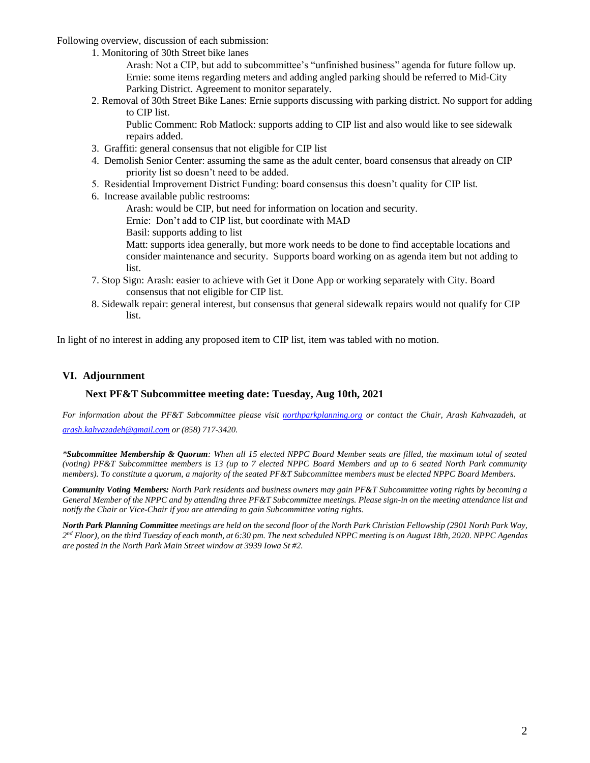Following overview, discussion of each submission:

1. Monitoring of 30th Street bike lanes

Arash: Not a CIP, but add to subcommittee's "unfinished business" agenda for future follow up. Ernie: some items regarding meters and adding angled parking should be referred to Mid-City Parking District. Agreement to monitor separately.

2. Removal of 30th Street Bike Lanes: Ernie supports discussing with parking district. No support for adding to CIP list.

Public Comment: Rob Matlock: supports adding to CIP list and also would like to see sidewalk repairs added.

- 3. Graffiti: general consensus that not eligible for CIP list
- 4. Demolish Senior Center: assuming the same as the adult center, board consensus that already on CIP priority list so doesn't need to be added.
- 5. Residential Improvement District Funding: board consensus this doesn't quality for CIP list.
- 6. Increase available public restrooms:

Arash: would be CIP, but need for information on location and security.

Ernie: Don't add to CIP list, but coordinate with MAD

Basil: supports adding to list

Matt: supports idea generally, but more work needs to be done to find acceptable locations and consider maintenance and security. Supports board working on as agenda item but not adding to list.

- 7. Stop Sign: Arash: easier to achieve with Get it Done App or working separately with City. Board consensus that not eligible for CIP list.
- 8. Sidewalk repair: general interest, but consensus that general sidewalk repairs would not qualify for CIP list.

In light of no interest in adding any proposed item to CIP list, item was tabled with no motion.

#### **VI. Adjournment**

#### **Next PF&T Subcommittee meeting date: Tuesday, Aug 10th, 2021**

For information about the PF&T Subcommittee please visit [northparkplanning.org](http://www.northparkplanning.org/) or contact the Chair, Arash Kahvazadeh, at *[arash.kahvazadeh@gmail.com](mailto:arash.kahvazadeh@gmail.com) or (858) 717-3420.*

*\*Subcommittee Membership & Quorum: When all 15 elected NPPC Board Member seats are filled, the maximum total of seated (voting) PF&T Subcommittee members is 13 (up to 7 elected NPPC Board Members and up to 6 seated North Park community* members). To constitute a quorum, a majority of the seated PF&T Subcommittee members must be elected NPPC Board Members.

*Community Voting Members: North Park residents and business owners may gain PF&T Subcommittee voting rights by becoming a* General Member of the NPPC and by attending three PF&T Subcommittee meetings. Please sign-in on the meeting attendance list and *notify the Chair or Vice-Chair if you are attending to gain Subcommittee voting rights.*

*North Park Planning Committee meetings are held on the second floor of the North Park Christian Fellowship (2901 North Park Way, 2 nd Floor), on the third Tuesday of each month, at 6:30 pm. The next scheduled NPPC meeting is on August 18th, 2020. NPPC Agendas are posted in the North Park Main Street window at 3939 Iowa St #2.*